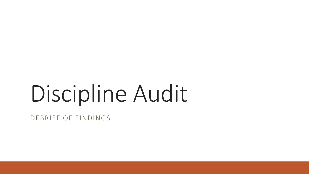# Discipline Audit

DEBRIEF OF FINDINGS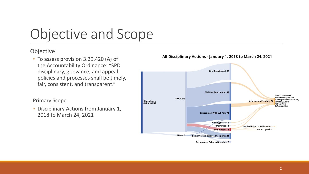# Objective and Scope

### Objective

◦ To assess provision 3.29.420 (A) of the Accountability Ordinance: "SPD disciplinary, grievance, and appeal policies and processes shall be timely, fair, consistent, and transparent."

### Primary Scope

◦ Disciplinary Actions from January 1, 2018 to March 24, 2021



### All Disciplinary Actions - January 1, 2018 to March 24, 2021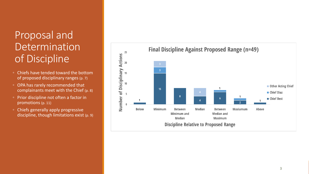## Proposal and **Determination** of Discipline

- Chiefs have tended toward the bottom of proposed disciplinary ranges (p. 7)
- OPA has rarely recommended that complainants meet with the Chief (p. 8)
- Prior discipline not often a factor in promotions (p. 11)
- Chiefs generally apply progressive discipline, though limitations exist (p. 9)

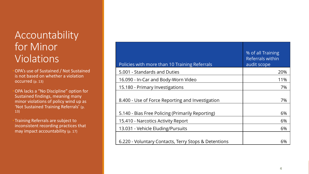## Accountability for Minor Violations

•OPA's use of Sustained / Not Sustained is not based on whether a violation occurred (p. 13)

•OPA lacks a "No Discipline" option for Sustained findings, meaning many minor violations of policy wind up as 'Not Sustained Training Referrals' (p. 13)

• Training Referrals are subject to inconsistent recording practices that may impact accountability (p. 17)

| Policies with more than 10 Training Referrals        | % of all Training<br><b>Referrals within</b><br>audit scope |
|------------------------------------------------------|-------------------------------------------------------------|
| 5.001 - Standards and Duties                         | 20%                                                         |
| 16.090 - In-Car and Body-Worn Video                  | 11%                                                         |
| 15.180 - Primary Investigations                      | 7%                                                          |
| 8.400 - Use of Force Reporting and Investigation     | 7%                                                          |
| 5.140 - Bias Free Policing (Primarily Reporting)     | 6%                                                          |
| 15.410 - Narcotics Activity Report                   | 6%                                                          |
| 13.031 - Vehicle Eluding/Pursuits                    | 6%                                                          |
| 6.220 - Voluntary Contacts, Terry Stops & Detentions | 6%                                                          |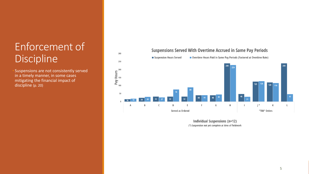# Enforcement of Discipline

Suspensions are not consistently served in a timely manner, in some cases mitigating the financial impact of discipline (p. 20)

#### 300 Overtime Hours Paid in Same Pay Periods (Factored at Overtime Rate) Suspension Hours Served 250 240 Pay Hours 125  $120$ 100 116 50  $32<sup>2</sup>$  $32$ 16 G  $H$  $\vert$  \*  $\mathsf{C}$  $E$ К  $\mathsf{L}$  $\overline{A}$ B D -F Served as Ordered "TBD" Orders

**Individual Suspensions (n=12)** (\*) Suspension not yet complete at time of fieldwork

### **Suspensions Served With Overtime Accrued in Same Pay Periods**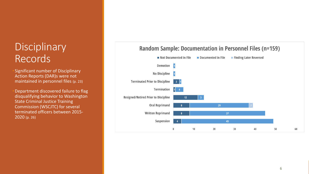## **Disciplinary** Records

• Significant number of Disciplinary Action Reports (DAR)s were not maintained in personnel files (p. 23)

•Department discovered failure to flag disqualifying behavior to Washington State Criminal Justice Training Commission (WSCJTC) for several terminated officers between 2015 - 2020 (p. 26)

#### Not Documented in File Documented in File Finding Later Reversed **Demotion No Discipline Terminated Prior to Discipline Termination**  $1 \quad 4$ **Resigned/Retired Prior to Discipline**  $12$ **Oral Reprimand** 29 **Written Reprimand**  $37<sup>°</sup>$ Suspension 45  $\Omega$ 10  $20$ 30 40 50 60

## **Random Sample: Documentation in Personnel Files (n=159)**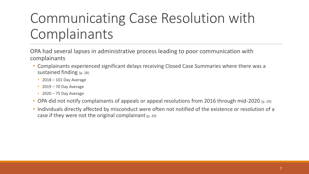# Communicating Case Resolution with Complainants

OPA had several lapses in administrative process leading to poor communication with complainants

- Complainants experienced significant delays receiving Closed Case Summaries where there was a sustained finding (p. 28)
	- 2018 101 Day Average
	- $\cdot$  2019 70 Day Average
	- $\cdot$  2020 75 Day Average
- OPA did not notify complainants of appeals or appeal resolutions from 2016 through mid-2020 (p. 29)
- Individuals directly affected by misconduct were often not notified of the existence or resolution of a case if they were not the original complainant  $(p. 29)$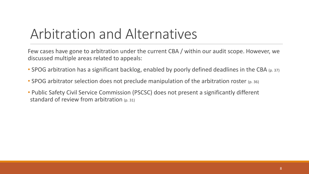# Arbitration and Alternatives

Few cases have gone to arbitration under the current CBA / within our audit scope. However, we discussed multiple areas related to appeals:

- SPOG arbitration has a significant backlog, enabled by poorly defined deadlines in the CBA (p. 37)
- SPOG arbitrator selection does not preclude manipulation of the arbitration roster  $(p. 36)$
- Public Safety Civil Service Commission (PSCSC) does not present a significantly different standard of review from arbitration (p. 31)